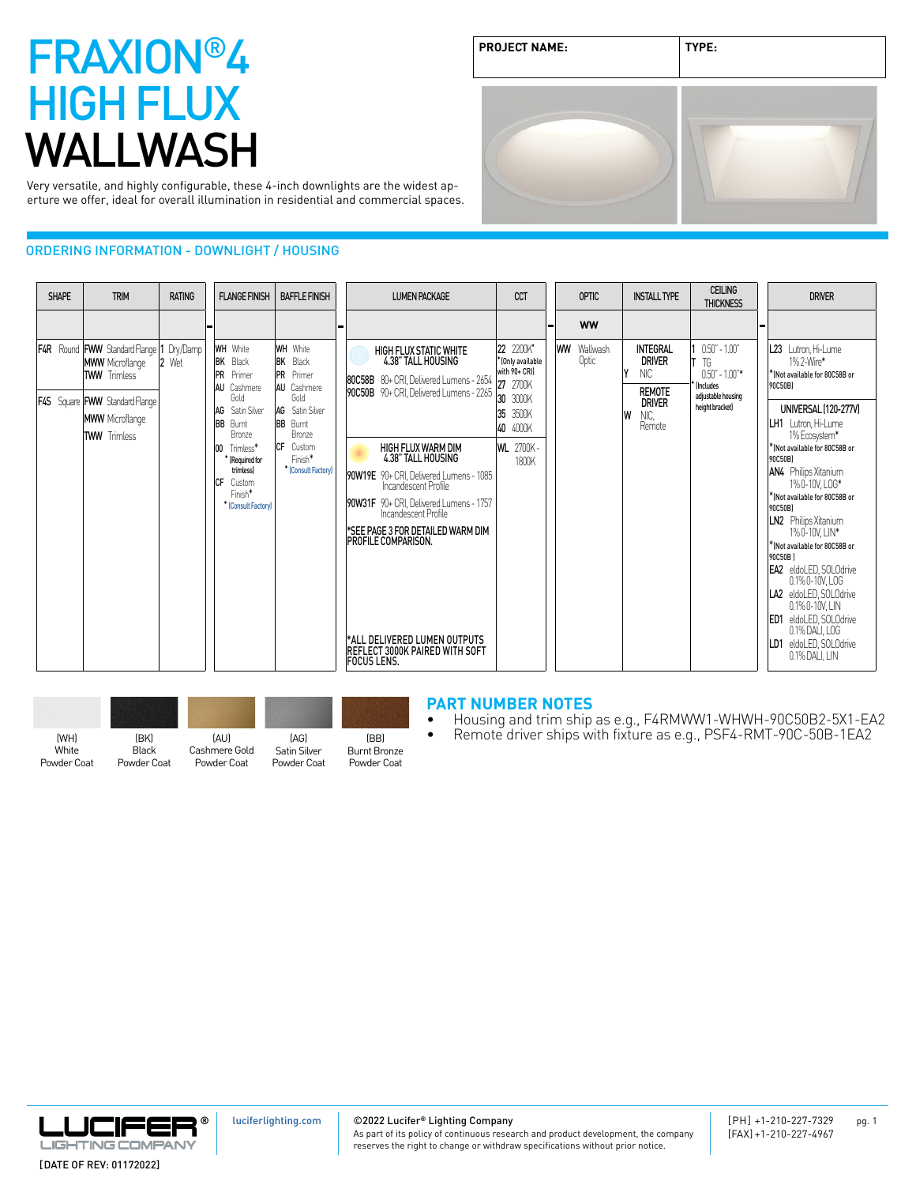# FRAXION®4 HIGH FLUX WALLWASH

| <b>PROJECT NAME:</b> | TYPE: |  |
|----------------------|-------|--|
|                      |       |  |

Very versatile, and highly configurable, these 4-inch downlights are the widest aperture we offer, ideal for overall illumination in residential and commercial spaces.

### ORDERING INFORMATION - DOWNLIGHT / HOUSING



| (WH)  | (BK)  |
|-------|-------|
| White | Black |

Powder Coat

Powder Coat

(AU) Cashmere Gold Powder Coat (AG) Satin Silver Powder Coat

(BB) Burnt Bronze Powder Coat

#### **PART NUMBER NOTES**

- Housing and trim ship as e.g., F4RMWW1-WHWH-90C50B2-5X1-EA2<br>• Remote driver ships with fixture as e.g., PSF4-RMT-90C-50B-1EA2
	-



[luciferlighting.com](http://luciferlighting.com/)

©2022 Lucifer**®** Lighting Company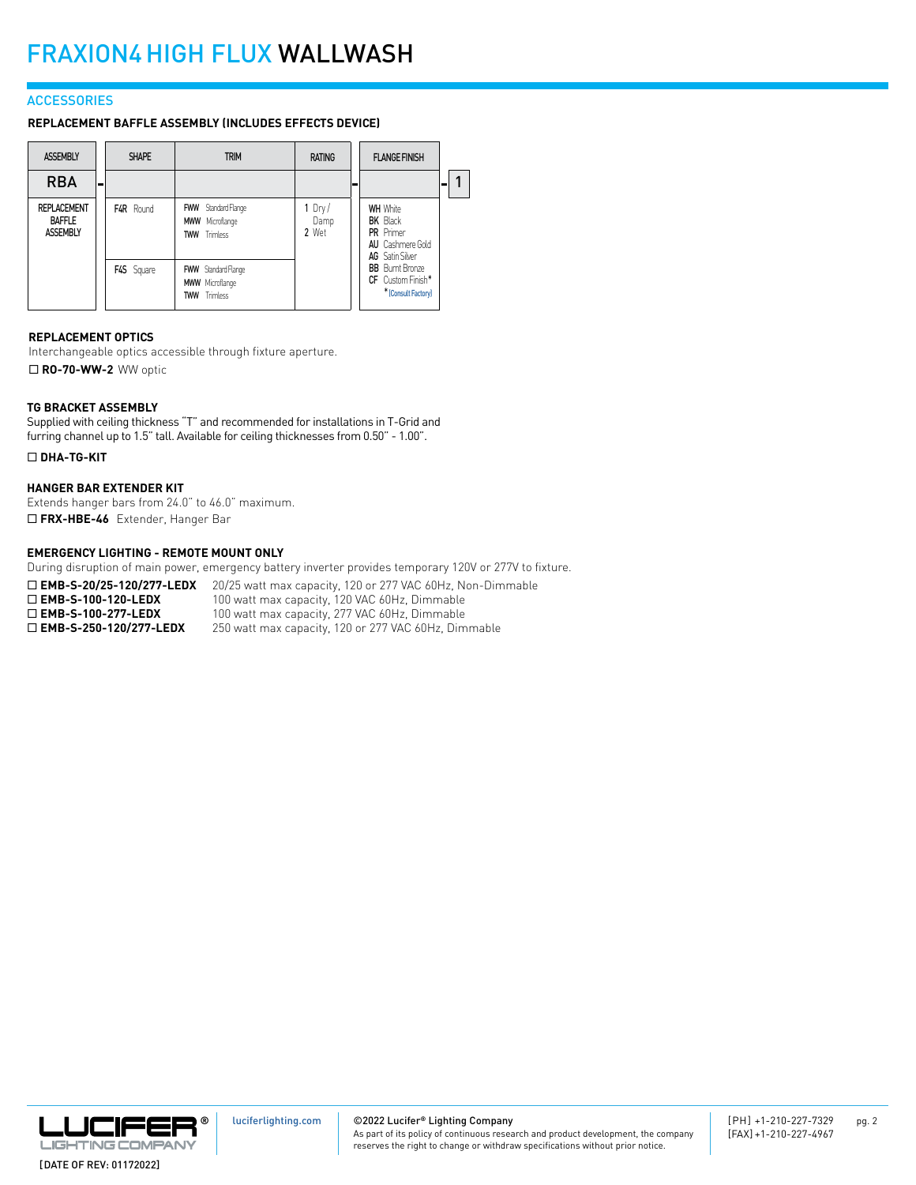#### **ACCESSORIES**

**REPLACEMENT BAFFLE ASSEMBLY (INCLUDES EFFECTS DEVICE)**

| <b>ASSEMBLY</b>                                        |   | <b>SHAPE</b>     | <b>TRIM</b>                                                                 | <b>RATING</b>             | <b>FLANGE FINISH</b>                                                                                        |   |  |
|--------------------------------------------------------|---|------------------|-----------------------------------------------------------------------------|---------------------------|-------------------------------------------------------------------------------------------------------------|---|--|
| <b>RBA</b>                                             | - |                  |                                                                             |                           |                                                                                                             | ۰ |  |
| <b>REPLACEMENT</b><br><b>BAFFLE</b><br><b>ASSEMBLY</b> |   | <b>F4R</b> Round | <b>FWW</b> Standard Flange<br><b>MWW</b> Microflange<br><b>TWW</b> Trimless | 1 $Dry/$<br>Damp<br>2 Wet | <b>WH</b> White<br><b>BK</b> Black<br><b>PR</b> Primer<br><b>AU</b> Cashmere Gold<br><b>AG</b> Satin Silver |   |  |
|                                                        |   | F4S Square       | <b>FWW</b> Standard Flange<br><b>MWW</b> Microflange<br><b>TWW</b> Trimless |                           | <b>BB</b> Burnt Bronze<br>CF Custom Finish*<br>* [Consult Factory]                                          |   |  |

#### **REPLACEMENT OPTICS**

Interchangeable optics accessible through fixture aperture. ■ **RO-70-WW-2** WW optic

#### **TG BRACKET ASSEMBLY**

Supplied with ceiling thickness "T" and recommended for installations in T-Grid and furring channel up to 1.5" tall. Available for ceiling thicknesses from 0.50" - 1.00".

#### ¨ **DHA-TG-KIT**

#### **HANGER BAR EXTENDER KIT**

Extends hanger bars from 24.0" to 46.0" maximum. ¨ **FRX-HBE-46** Extender, Hanger Bar

#### **EMERGENCY LIGHTING - REMOTE MOUNT ONLY**

During disruption of main power, emergency battery inverter provides temporary 120V or 277V to fixture.

| $\Box$ EMB-S-20/25-120/277-LEDX  | 20/25 watt max capacity, 120 or 277 VAC 60Hz, Non-Dimmable |
|----------------------------------|------------------------------------------------------------|
| $\Box$ EMB-S-100-120-LEDX        | 100 watt max capacity, 120 VAC 60Hz, Dimmable              |
| $\Box$ EMB-S-100-277-LEDX        | 100 watt max capacity, 277 VAC 60Hz, Dimmable              |
| $\square$ EMB-S-250-120/277-LEDX | 250 watt max capacity, 120 or 277 VAC 60Hz, Dimmable       |



©2022 Lucifer**®** Lighting Company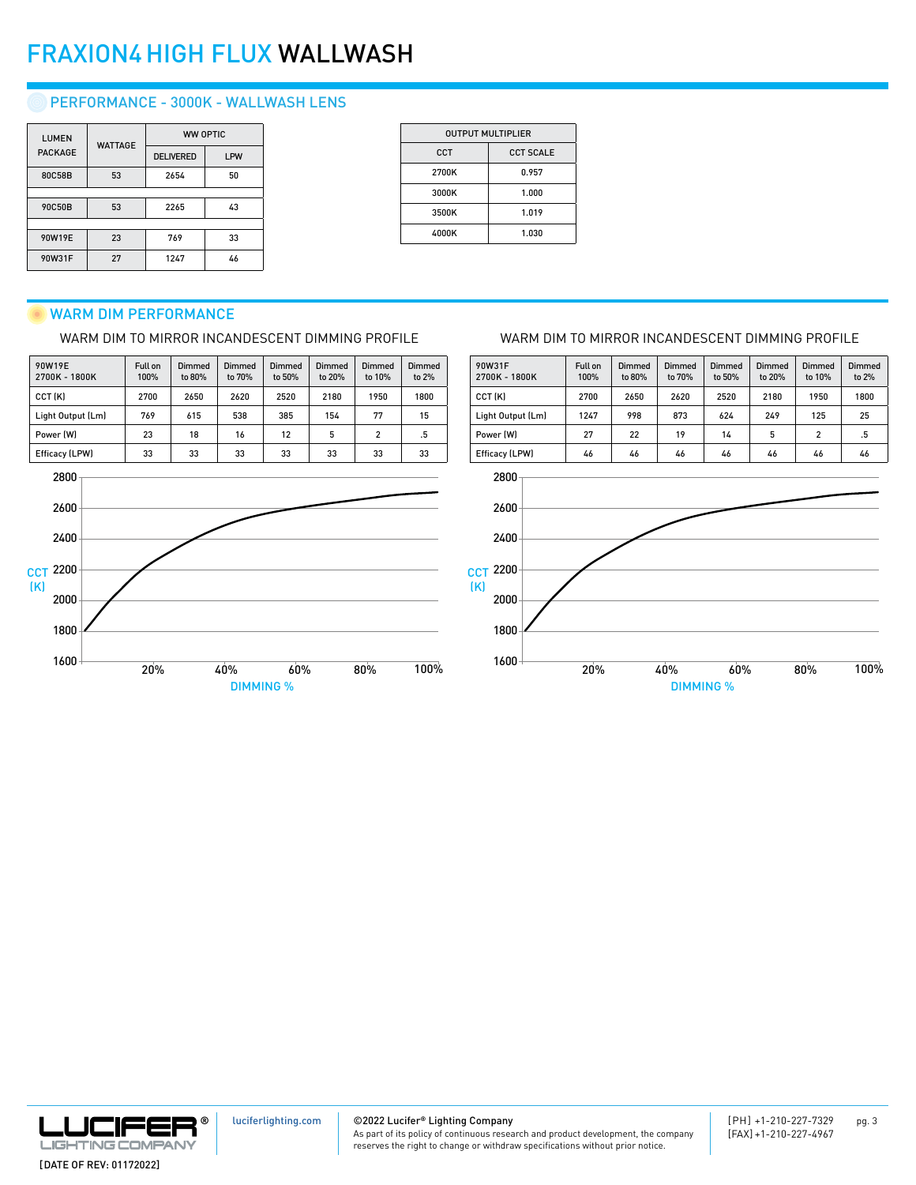## FRAXION4HIGH FLUX WALLWASH

## PERFORMANCE - 3000K - WALLWASH LENS

| <b>LUMEN</b>   | <b>WATTAGE</b> | <b>WW OPTIC</b>  |            |
|----------------|----------------|------------------|------------|
| <b>PACKAGE</b> |                | <b>DELIVERED</b> | <b>LPW</b> |
| 80C58B         | 53             | 2654             | 50         |
|                |                |                  |            |
| 90C50B         | 53             | 2265             | 43         |
|                |                |                  |            |
| 90W19E         | 23             | 769              | 33         |
| 90W31F         | 27             | 1247             | 46         |

| <b>OUTPUT MULTIPLIER</b> |                  |  |  |  |
|--------------------------|------------------|--|--|--|
| <b>CCT</b>               | <b>CCT SCALE</b> |  |  |  |
| 2700K                    | 0.957            |  |  |  |
| 3000K                    | 1.000            |  |  |  |
| 3500K                    | 1.019            |  |  |  |
| 4000K                    | 1.030            |  |  |  |
|                          |                  |  |  |  |

### WARM DIM PERFORMANCE

WARM DIM TO MIRROR INCANDESCENT DIMMING PROFILE

| 90W19E<br>2700K - 1800K | Full on<br>100% | Dimmed<br>to 80% | Dimmed<br>to 70% | Dimmed<br>to 50% | Dimmed<br>to 20% | Dimmed<br>to 10% | Dimmed<br>to 2% |
|-------------------------|-----------------|------------------|------------------|------------------|------------------|------------------|-----------------|
| CCT (K)                 | 2700            | 2650             | 2620             | 2520             | 2180             | 1950             | 1800            |
| Light Output (Lm)       | 769             | 615              | 538              | 385              | 154              | 77               | 15              |
| Power (W)               | 23              | 18               | 16               | 12               | 5                | $\overline{2}$   | .5              |
| Efficacy (LPW)          | 33              | 33               | 33               | 33               | 33               | 33               | 33              |



#### WARM DIM TO MIRROR INCANDESCENT DIMMING PROFILE

| 90W31F<br>2700K - 1800K | Full on<br>100% | Dimmed<br>to 80% | Dimmed<br>to 70% | Dimmed<br>to 50% | Dimmed<br>to 20% | Dimmed<br>to 10% | Dimmed<br>to 2% |
|-------------------------|-----------------|------------------|------------------|------------------|------------------|------------------|-----------------|
| CCT (K)                 | 2700            | 2650             | 2620             | 2520             | 2180             | 1950             | 1800            |
| Light Output (Lm)       | 1247            | 998              | 873              | 624              | 249              | 125              | 25              |
| Power (W)               | 27              | 22               | 19               | 14               | 5                | $\overline{2}$   | .5              |
| Efficacy (LPW)          | 46              | 46               | 46               | 46               | 46               | 46               | 46              |
| 2800                    |                 |                  |                  |                  |                  |                  |                 |





©2022 Lucifer**®** Lighting Company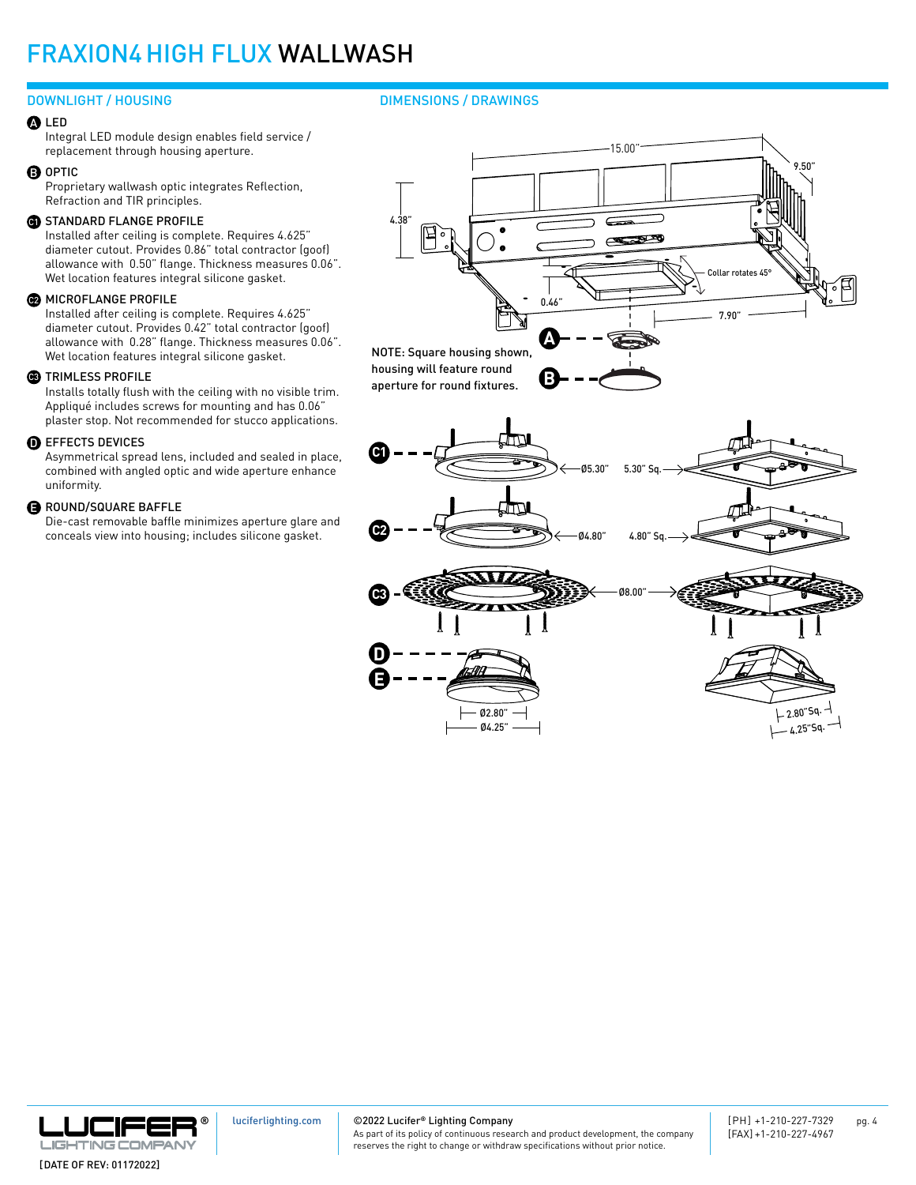## FRAXION4HIGH FLUX WALLWASH

#### DOWNLIGHT / HOUSING DIMENSIONS / DRAWINGS

#### LED A

Integral LED module design enables field service / replacement through housing aperture.

#### **D** OPTIC

Proprietary wallwash optic integrates Reflection, Refraction and TIR principles.

#### **G)** STANDARD FLANGE PROFILE

Installed after ceiling is complete. Requires 4.625" diameter cutout. Provides 0.86" total contractor (goof) allowance with 0.50" flange. Thickness measures 0.06". Wet location features integral silicone gasket.

#### **@** MICROFLANGE PROFILE

Installed after ceiling is complete. Requires 4.625" diameter cutout. Provides 0.42" total contractor (goof) allowance with 0.28" flange. Thickness measures 0.06". Wet location features integral silicone gasket.

#### **33** TRIMLESS PROFILE

Installs totally flush with the ceiling with no visible trim. Appliqué includes screws for mounting and has 0.06" plaster stop. Not recommended for stucco applications.

#### $\textcolor{black}{\mathbf{D}}$  effects devices

Asymmetrical spread lens, included and sealed in place, combined with angled optic and wide aperture enhance uniformity.

#### **B** ROUND/SQUARE BAFFLE

Die-cast removable baffle minimizes aperture glare and conceals view into housing; includes silicone gasket.









[luciferlighting.com](http://luciferlighting.com/)

©2022 Lucifer**®** Lighting Company

As part of its policy of continuous research and product development, the company reserves the right to change or withdraw specifications without prior notice.

Ø4.25" Ø2.80"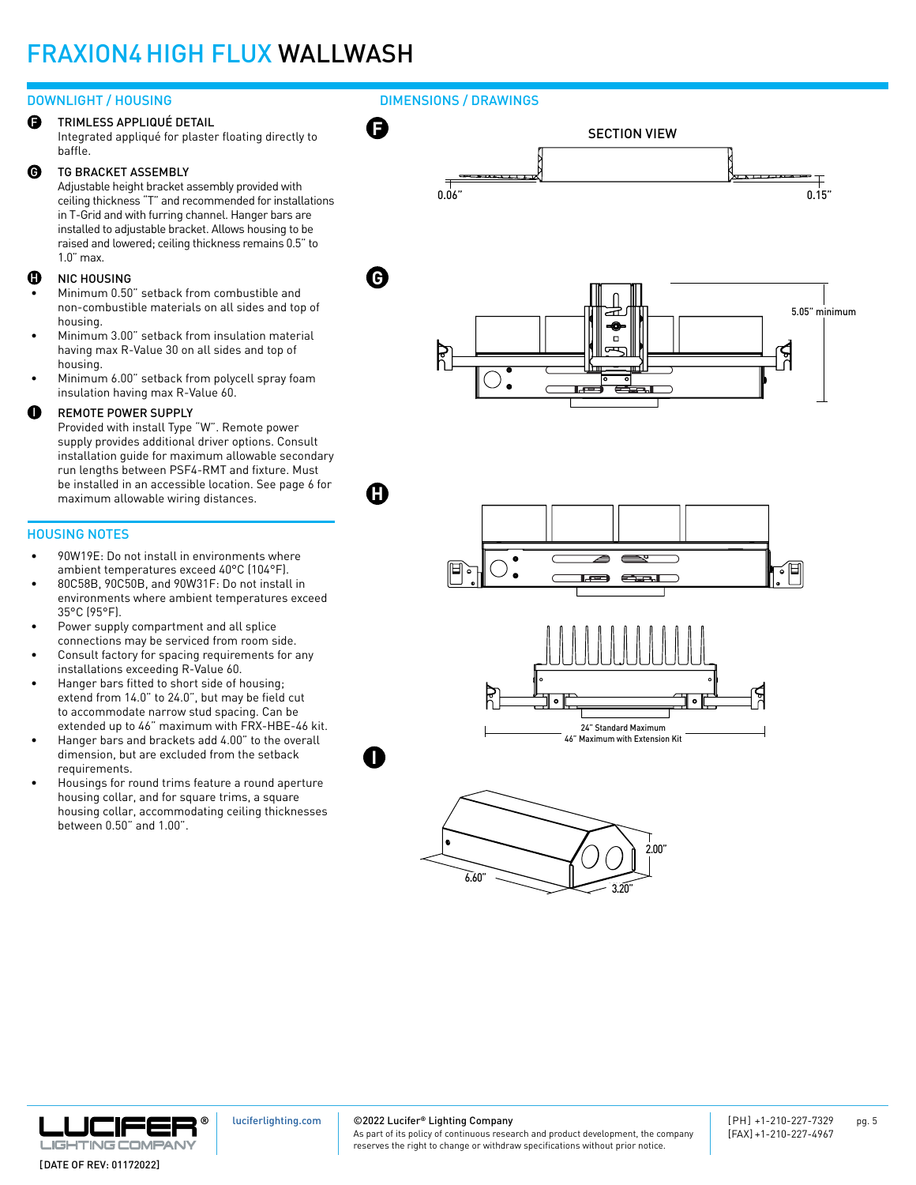## FRAXION4HIGH FLUX WALLWASH

#### DOWNLIGHT / HOUSING

TRIMLESS APPLIQUÉ DETAIL Integrated appliqué for plaster floating directly to baffle. F

#### TG BRACKET ASSEMBLY  $\boldsymbol{\Theta}$

Adjustable height bracket assembly provided with ceiling thickness "T" and recommended for installations in T-Grid and with furring channel. Hanger bars are installed to adjustable bracket. Allows housing to be raised and lowered; ceiling thickness remains 0.5" to 1.0" max.

#### NIC HOUSING H

- Minimum 0.50" setback from combustible and non-combustible materials on all sides and top of housing.
- Minimum 3.00" setback from insulation material having max R-Value 30 on all sides and top of housing.
- Minimum 6.00" setback from polycell spray foam insulation having max R-Value 60.

#### REMOTE POWER SUPPLY o

Provided with install Type "W". Remote power supply provides additional driver options. Consult installation guide for maximum allowable secondary run lengths between PSF4-RMT and fixture. Must be installed in an accessible location. See page 6 for maximum allowable wiring distances.

#### HOUSING NOTES

- 90W19E: Do not install in environments where ambient temperatures exceed 40°C (104°F).
- 80C58B, 90C50B, and 90W31F: Do not install in environments where ambient temperatures exceed 35°C (95°F).
- Power supply compartment and all splice connections may be serviced from room side.
- Consult factory for spacing requirements for any installations exceeding R-Value 60.
- Hanger bars fitted to short side of housing; extend from 14.0" to 24.0", but may be field cut to accommodate narrow stud spacing. Can be extended up to 46" maximum with FRX-HBE-46 kit.
- Hanger bars and brackets add 4.00" to the overall dimension, but are excluded from the setback requirements.
- Housings for round trims feature a round aperture housing collar, and for square trims, a square housing collar, accommodating ceiling thicknesses between 0.50" and 1.00".

DIMENSIONS / DRAWINGS







[luciferlighting.com](http://luciferlighting.com/)

©2022 Lucifer**®** Lighting Company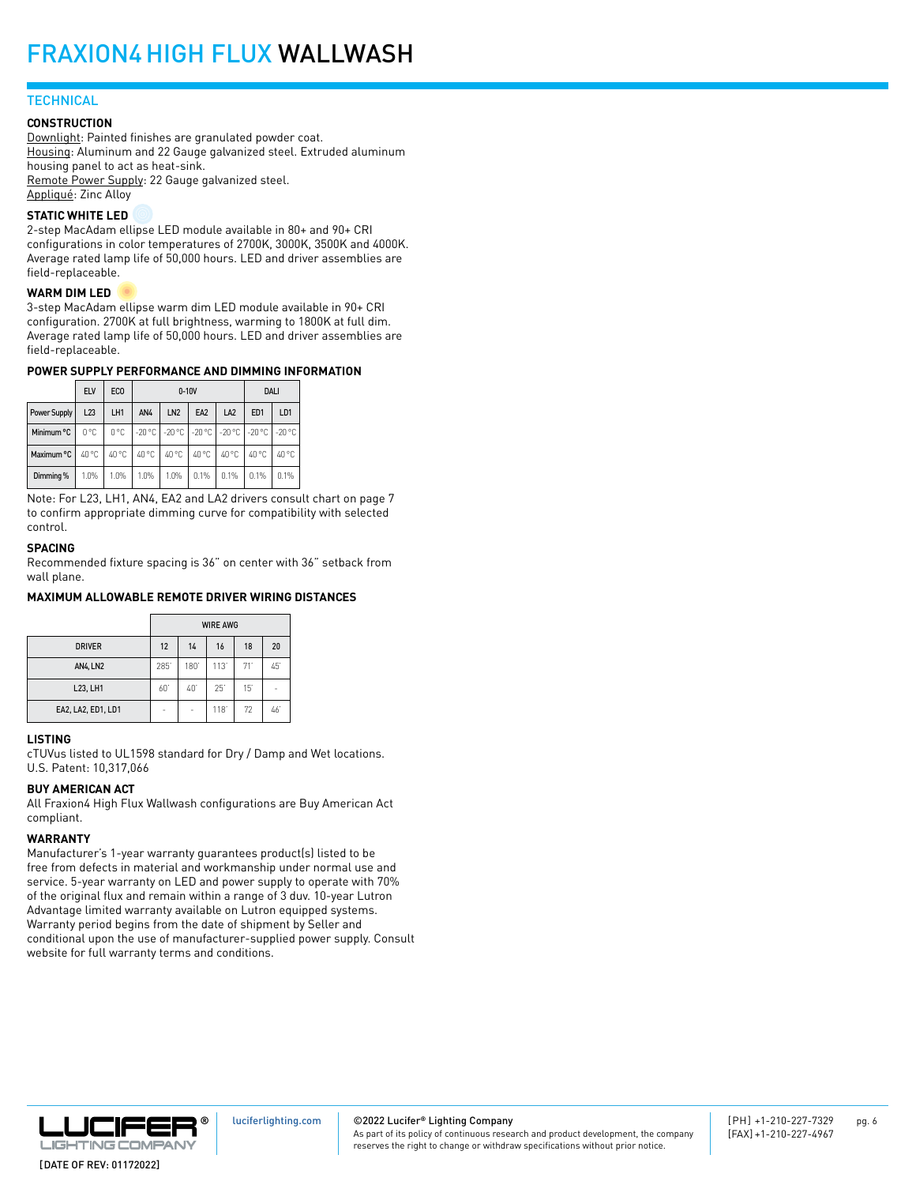### **TECHNICAL**

#### **CONSTRUCTION**

Downlight: Painted finishes are granulated powder coat. Housing: Aluminum and 22 Gauge galvanized steel. Extruded aluminum housing panel to act as heat-sink. Remote Power Supply: 22 Gauge galvanized steel. Appliqué: Zinc Alloy

#### **STATIC WHITE LED**

2-step MacAdam ellipse LED module available in 80+ and 90+ CRI configurations in color temperatures of 2700K, 3000K, 3500K and 4000K. Average rated lamp life of 50,000 hours. LED and driver assemblies are field-replaceable.

#### **WARM DIM LED**

3-step MacAdam ellipse warm dim LED module available in 90+ CRI configuration. 2700K at full brightness, warming to 1800K at full dim. Average rated lamp life of 50,000 hours. LED and driver assemblies are field-replaceable.

#### **POWER SUPPLY PERFORMANCE AND DIMMING INFORMATION**

|              | <b>ELV</b> | EC <sub>0</sub> |       | $0-10V$         | <b>DALI</b>                                                |                 |                 |                |
|--------------|------------|-----------------|-------|-----------------|------------------------------------------------------------|-----------------|-----------------|----------------|
| Power Supply | L23        | LH1             | AN4   | LN <sub>2</sub> | EA <sub>2</sub>                                            | LA <sub>2</sub> | ED <sub>1</sub> | LD1            |
| Minimum °C   | 0°C        |                 |       |                 | 0 °C   -20 °C   -20 °C   -20 °C   -20 °C   -20 °C   -20 °C |                 |                 |                |
| Maximum °C   | 40 °C      | 40 °C           | 40 °C | 40 °C           | 40 °C                                                      | 40 °C           | 40 °C           | $40^{\circ}$ C |
| Dimming %    | 1.0%       | 1.0%            | 1.0%  | 1.0%            | 0.1%                                                       | 0.1%            | 0.1%            | 0.1%           |

Note: For L23, LH1, AN4, EA2 and LA2 drivers consult chart on page 7 to confirm appropriate dimming curve for compatibility with selected control.

#### **SPACING**

Recommended fixture spacing is 36" on center with 36" setback from wall plane.

#### **MAXIMUM ALLOWABLE REMOTE DRIVER WIRING DISTANCES**

|                    | <b>WIRE AWG</b> |      |      |     |    |
|--------------------|-----------------|------|------|-----|----|
| <b>DRIVER</b>      | 12              | 14   | 16   | 18  | 20 |
| AN4, LN2           | 285             | 180' | 113' | 71' | 45 |
| L23, LH1           | 60              | 40   | 25   | 15' | -  |
| EA2, LA2, ED1, LD1 | ۰               | ۰    | 118  | 72  | 46 |

#### **LISTING**

cTUVus listed to UL1598 standard for Dry / Damp and Wet locations. U.S. Patent: 10,317,066

#### **BUY AMERICAN ACT**

All Fraxion4 High Flux Wallwash configurations are Buy American Act compliant.

#### **WARRANTY**

Manufacturer's 1-year warranty guarantees product(s) listed to be free from defects in material and workmanship under normal use and service. 5-year warranty on LED and power supply to operate with 70% of the original flux and remain within a range of 3 duv. 10-year Lutron Advantage limited warranty available on Lutron equipped systems. Warranty period begins from the date of shipment by Seller and conditional upon the use of manufacturer-supplied power supply. Consult website for full warranty terms and conditions.



#### ©2022 Lucifer **®** Lighting Company